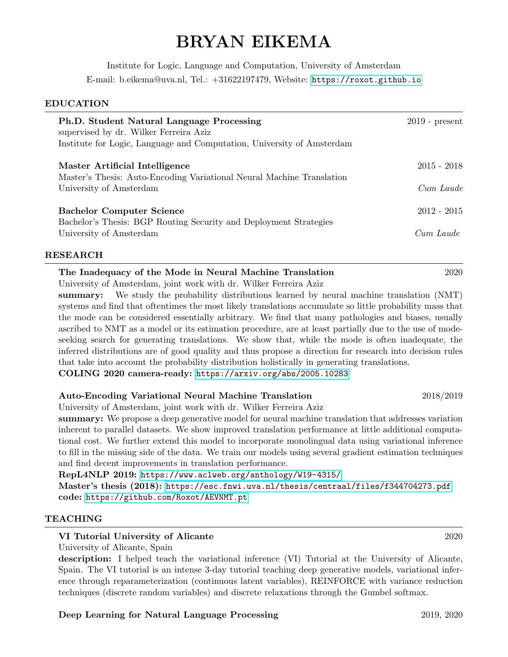# BRYAN EIKEMA

Institute for Logic, Language and Computation, University of Amsterdam E-mail: b.eikema@uva.nl, Tel.: +31622197479, Website: <https://roxot.github.io>

#### EDUCATION

| Ph.D. Student Natural Language Processing<br>supervised by dr. Wilker Ferreira Aziz<br>Institute for Logic, Language and Computation, University of Amsterdam | $2019$ - present |
|---------------------------------------------------------------------------------------------------------------------------------------------------------------|------------------|
| Master Artificial Intelligence<br>Master's Thesis: Auto-Encoding Variational Neural Machine Translation<br>University of Amsterdam                            | $2015 - 2018$    |
|                                                                                                                                                               | Cum Laude        |
| <b>Bachelor Computer Science</b><br>Bachelor's Thesis: BGP Routing Security and Deployment Strategies<br>University of Amsterdam                              | $2012 - 2015$    |
|                                                                                                                                                               | Cum Laude        |

#### RESEARCH

The Inadequacy of the Mode in Neural Machine Translation 2020

University of Amsterdam, joint work with dr. Wilker Ferreira Aziz

summary: We study the probability distributions learned by neural machine translation (NMT) systems and find that oftentimes the most likely translations accumulate so little probability mass that the mode can be considered essentially arbitrary. We find that many pathologies and biases, usually ascribed to NMT as a model or its estimation procedure, are at least partially due to the use of modeseeking search for generating translations. We show that, while the mode is often inadequate, the inferred distributions are of good quality and thus propose a direction for research into decision rules that take into account the probability distribution holistically in generating translations. COLING 2020 camera-ready: <https://arxiv.org/abs/2005.10283>

Auto-Encoding Variational Neural Machine Translation 2018/2019

University of Amsterdam, joint work with dr. Wilker Ferreira Aziz

summary: We propose a deep generative model for neural machine translation that addresses variation inherent to parallel datasets. We show improved translation performance at little additional computational cost. We further extend this model to incorporate monolingual data using variational inference to fill in the missing side of the data. We train our models using several gradient estimation techniques and find decent improvements in translation performance.

RepL4NLP 2019: <https://www.aclweb.org/anthology/W19-4315/>

Master's thesis (2018): <https://esc.fnwi.uva.nl/thesis/centraal/files/f344704273.pdf> code: <https://github.com/Roxot/AEVNMT.pt>

#### TEACHING

#### VI Tutorial University of Alicante 2020

University of Alicante, Spain

description: I helped teach the variational inference (VI) Tutorial at the University of Alicante, Spain. The VI tutorial is an intense 3-day tutorial teaching deep generative models, variational inference through reparameterization (continuous latent variables), REINFORCE with variance reduction techniques (discrete random variables) and discrete relaxations through the Gumbel softmax.